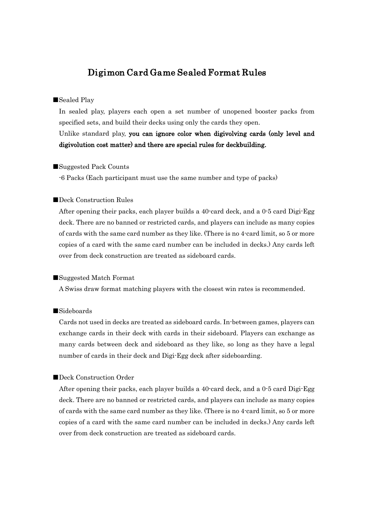# Digimon Card Game Sealed Format Rules

## ■Sealed Play

In sealed play, players each open a set number of unopened booster packs from specified sets, and build their decks using only the cards they open.

## Unlike standard play, you can ignore color when digivolving cards (only level and digivolution cost matter) and there are special rules for deckbuilding.

#### ■Suggested Pack Counts

-6 Packs (Each participant must use the same number and type of packs)

## ■Deck Construction Rules

After opening their packs, each player builds a 40-card deck, and a 0-5 card Digi-Egg deck. There are no banned or restricted cards, and players can include as many copies of cards with the same card number as they like. (There is no 4-card limit, so 5 or more copies of a card with the same card number can be included in decks.) Any cards left over from deck construction are treated as sideboard cards.

## ■Suggested Match Format

A Swiss draw format matching players with the closest win rates is recommended.

#### ■Sideboards

Cards not used in decks are treated as sideboard cards. In-between games, players can exchange cards in their deck with cards in their sideboard. Players can exchange as many cards between deck and sideboard as they like, so long as they have a legal number of cards in their deck and Digi-Egg deck after sideboarding.

## ■Deck Construction Order

After opening their packs, each player builds a 40-card deck, and a 0-5 card Digi-Egg deck. There are no banned or restricted cards, and players can include as many copies of cards with the same card number as they like. (There is no 4-card limit, so 5 or more copies of a card with the same card number can be included in decks.) Any cards left over from deck construction are treated as sideboard cards.